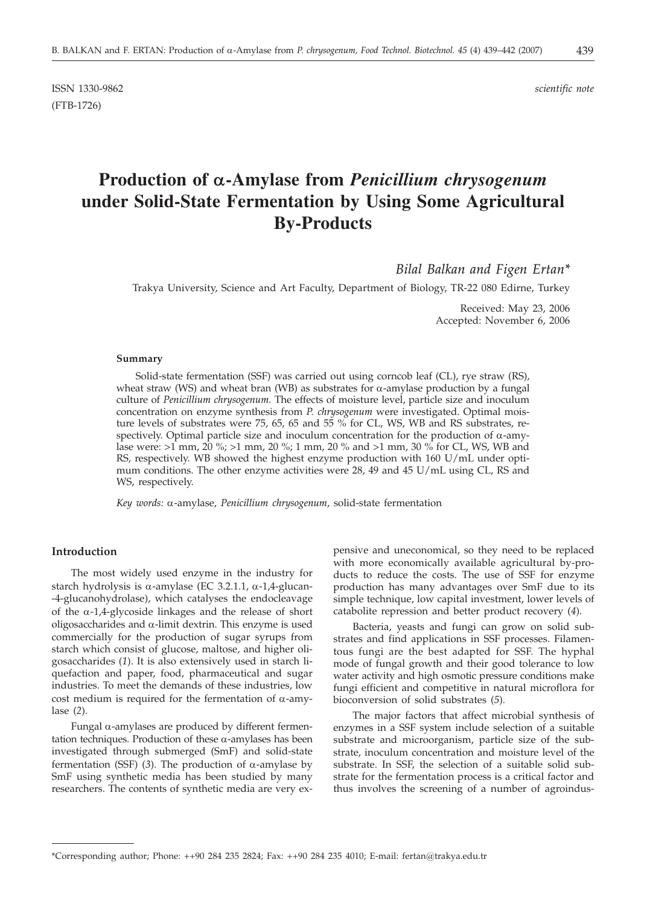# **Production of a-Amylase from** *Penicillium chrysogenum* **under Solid-State Fermentation by Using Some Agricultural By-Products**

*Bilal Balkan and Figen Ertan\**

Trakya University, Science and Art Faculty, Department of Biology, TR-22 080 Edirne, Turkey

Received: May 23, 2006 Accepted: November 6, 2006

#### **Summary**

Solid-state fermentation (SSF) was carried out using corncob leaf (CL), rye straw (RS), wheat straw (WS) and wheat bran (WB) as substrates for  $\alpha$ -amylase production by a fungal culture of *Penicillium chrysogenum.* The effects of moisture level, particle size and inoculum concentration on enzyme synthesis from *P. chrysogenum* were investigated. Optimal moisture levels of substrates were 75, 65, 65 and 55 % for CL, WS, WB and RS substrates, respectively. Optimal particle size and inoculum concentration for the production of  $\alpha$ -amylase were: >1 mm, 20 %; >1 mm, 20 %; 1 mm, 20 % and >1 mm, 30 % for CL, WS, WB and RS, respectively. WB showed the highest enzyme production with 160 U/mL under optimum conditions. The other enzyme activities were 28, 49 and 45 U/mL using CL, RS and WS, respectively.

*Key words:* a-amylase, *Penicillium chrysogenum*, solid-state fermentation

# **Introduction**

The most widely used enzyme in the industry for starch hydrolysis is  $\alpha$ -amylase (EC 3.2.1.1,  $\alpha$ -1,4-glucan--4-glucanohydrolase), which catalyses the endocleavage of the  $\alpha$ -1,4-glycoside linkages and the release of short oligosaccharides and  $\alpha$ -limit dextrin. This enzyme is used commercially for the production of sugar syrups from starch which consist of glucose, maltose, and higher oligosaccharides (*1*). It is also extensively used in starch liquefaction and paper, food, pharmaceutical and sugar industries. To meet the demands of these industries, low cost medium is required for the fermentation of  $\alpha$ -amylase (*2*).

Fungal  $\alpha$ -amylases are produced by different fermentation techniques. Production of these  $\alpha$ -amylases has been investigated through submerged (SmF) and solid-state fermentation (SSF) (3). The production of  $\alpha$ -amylase by SmF using synthetic media has been studied by many researchers. The contents of synthetic media are very expensive and uneconomical, so they need to be replaced with more economically available agricultural by-products to reduce the costs. The use of SSF for enzyme production has many advantages over SmF due to its simple technique, low capital investment, lower levels of catabolite repression and better product recovery (*4*).

Bacteria, yeasts and fungi can grow on solid substrates and find applications in SSF processes. Filamentous fungi are the best adapted for SSF. The hyphal mode of fungal growth and their good tolerance to low water activity and high osmotic pressure conditions make fungi efficient and competitive in natural microflora for bioconversion of solid substrates (*5*).

The major factors that affect microbial synthesis of enzymes in a SSF system include selection of a suitable substrate and microorganism, particle size of the substrate, inoculum concentration and moisture level of the substrate. In SSF, the selection of a suitable solid substrate for the fermentation process is a critical factor and thus involves the screening of a number of agroindus-

<sup>\*</sup>Corresponding author; Phone: ++90 284 235 2824; Fax: ++90 284 235 4010; E-mail: fertan@trakya.edu.tr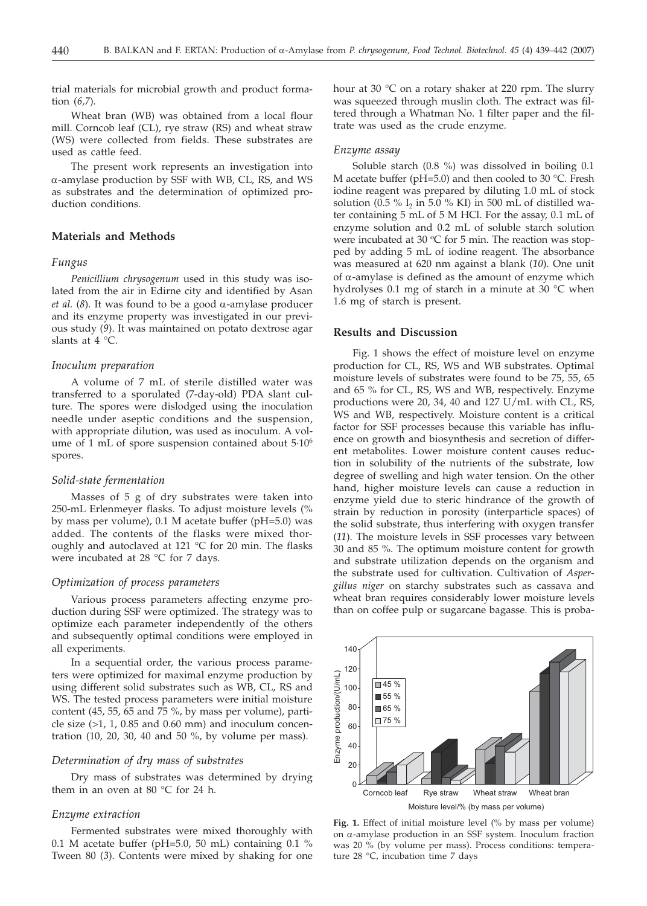trial materials for microbial growth and product formation (*6,7*).

Wheat bran (WB) was obtained from a local flour mill. Corncob leaf (CL), rye straw (RS) and wheat straw (WS) were collected from fields. These substrates are used as cattle feed.

The present work represents an investigation into a-amylase production by SSF with WB, CL, RS, and WS as substrates and the determination of optimized production conditions.

# **Materials and Methods**

#### *Fungus*

*Penicillium chrysogenum* used in this study was isolated from the air in Edirne city and identified by Asan *et al.* (8). It was found to be a good  $\alpha$ -amylase producer and its enzyme property was investigated in our previous study (*9*). It was maintained on potato dextrose agar slants at 4 °C.

# *Inoculum preparation*

A volume of 7 mL of sterile distilled water was transferred to a sporulated (7-day-old) PDA slant culture. The spores were dislodged using the inoculation needle under aseptic conditions and the suspension, with appropriate dilution, was used as inoculum. A volume of 1 mL of spore suspension contained about 5·106 spores.

#### *Solid-state fermentation*

Masses of 5 g of dry substrates were taken into 250-mL Erlenmeyer flasks. To adjust moisture levels (% by mass per volume), 0.1 M acetate buffer (pH=5.0) was added. The contents of the flasks were mixed thoroughly and autoclaved at 121 °C for 20 min. The flasks were incubated at 28 °C for 7 days.

### *Optimization of process parameters*

Various process parameters affecting enzyme production during SSF were optimized. The strategy was to optimize each parameter independently of the others and subsequently optimal conditions were employed in all experiments.

In a sequential order, the various process parameters were optimized for maximal enzyme production by using different solid substrates such as WB, CL, RS and WS. The tested process parameters were initial moisture content (45, 55, 65 and 75 %, by mass per volume), particle size  $(>1, 1, 0.85$  and  $0.60$  mm) and inoculum concentration (10, 20, 30, 40 and 50 %, by volume per mass).

#### *Determination of dry mass of substrates*

Dry mass of substrates was determined by drying them in an oven at 80 °C for 24 h.

#### *Enzyme extraction*

Fermented substrates were mixed thoroughly with 0.1 M acetate buffer (pH=5.0, 50 mL) containing 0.1 % Tween 80 (*3*). Contents were mixed by shaking for one

hour at 30 °C on a rotary shaker at 220 rpm. The slurry was squeezed through muslin cloth. The extract was filtered through a Whatman No. 1 filter paper and the filtrate was used as the crude enzyme.

#### *Enzyme assay*

Soluble starch (0.8 %) was dissolved in boiling 0.1 M acetate buffer (pH=5.0) and then cooled to 30  $^{\circ}$ C. Fresh iodine reagent was prepared by diluting 1.0 mL of stock solution (0.5 %  $I_2$  in 5.0 % KI) in 500 mL of distilled water containing 5 mL of 5 M HCl. For the assay, 0.1 mL of enzyme solution and 0.2 mL of soluble starch solution were incubated at 30  $\mathrm{^{\circ}C}$  for 5 min. The reaction was stopped by adding 5 mL of iodine reagent. The absorbance was measured at 620 nm against a blank (*10*). One unit of  $\alpha$ -amylase is defined as the amount of enzyme which hydrolyses 0.1 mg of starch in a minute at 30 °C when 1.6 mg of starch is present.

## **Results and Discussion**

Fig. 1 shows the effect of moisture level on enzyme production for CL, RS, WS and WB substrates. Optimal moisture levels of substrates were found to be 75, 55, 65 and 65 % for CL, RS, WS and WB, respectively. Enzyme productions were 20, 34, 40 and 127 U/mL with CL, RS, WS and WB, respectively. Moisture content is a critical factor for SSF processes because this variable has influence on growth and biosynthesis and secretion of different metabolites. Lower moisture content causes reduction in solubility of the nutrients of the substrate, low degree of swelling and high water tension. On the other hand, higher moisture levels can cause a reduction in enzyme yield due to steric hindrance of the growth of strain by reduction in porosity (interparticle spaces) of the solid substrate, thus interfering with oxygen transfer (*11*). The moisture levels in SSF processes vary between 30 and 85 %. The optimum moisture content for growth and substrate utilization depends on the organism and the substrate used for cultivation. Cultivation of *Aspergillus niger* on starchy substrates such as cassava and wheat bran requires considerably lower moisture levels than on coffee pulp or sugarcane bagasse. This is proba-



**Fig. 1.** Effect of initial moisture level (% by mass per volume) on  $\alpha$ -amylase production in an SSF system. Inoculum fraction was 20 % (by volume per mass). Process conditions: temperature 28 °C, incubation time 7 days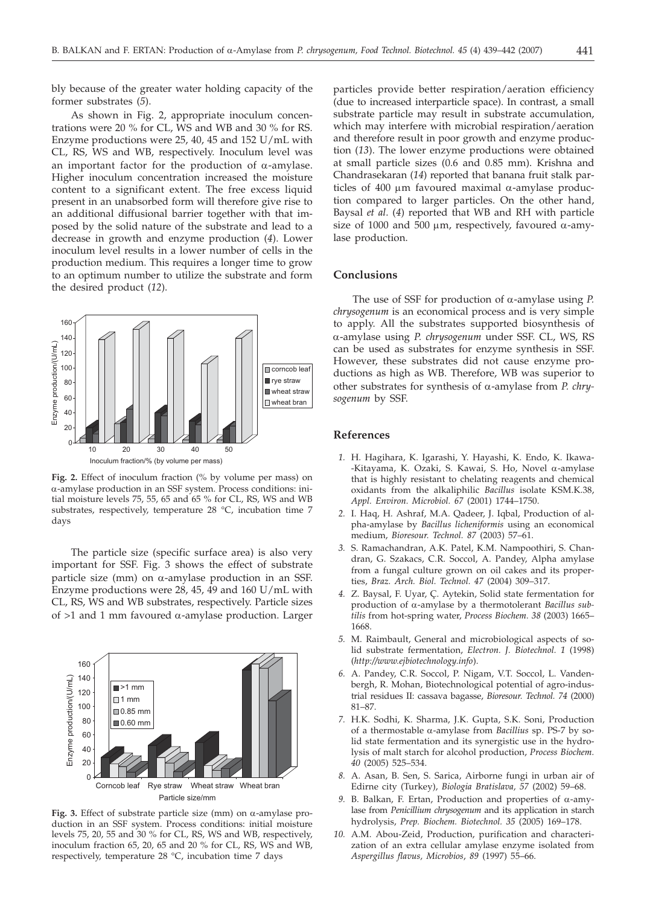bly because of the greater water holding capacity of the former substrates (*5*).

As shown in Fig. 2, appropriate inoculum concentrations were 20 % for CL, WS and WB and 30 % for RS. Enzyme productions were 25, 40, 45 and 152 U/mL with CL, RS, WS and WB, respectively. Inoculum level was an important factor for the production of  $\alpha$ -amylase. Higher inoculum concentration increased the moisture content to a significant extent. The free excess liquid present in an unabsorbed form will therefore give rise to an additional diffusional barrier together with that imposed by the solid nature of the substrate and lead to a decrease in growth and enzyme production (*4*). Lower inoculum level results in a lower number of cells in the production medium. This requires a longer time to grow to an optimum number to utilize the substrate and form the desired product (*12*).



**Fig. 2.** Effect of inoculum fraction (% by volume per mass) on a-amylase production in an SSF system. Process conditions: initial moisture levels 75, 55, 65 and 65 % for CL, RS, WS and WB substrates, respectively, temperature 28 °C, incubation time 7 days

The particle size (specific surface area) is also very important for SSF. Fig. 3 shows the effect of substrate particle size (mm) on  $\alpha$ -amylase production in an SSF. Enzyme productions were 28, 45, 49 and 160 U/mL with CL, RS, WS and WB substrates, respectively. Particle sizes of  $>1$  and 1 mm favoured  $\alpha$ -amylase production. Larger



Fig. 3. Effect of substrate particle size (mm) on  $\alpha$ -amylase production in an SSF system. Process conditions: initial moisture levels 75, 20, 55 and 30 % for CL, RS, WS and WB, respectively, inoculum fraction 65, 20, 65 and 20 % for CL, RS, WS and WB, respectively, temperature 28 °C, incubation time 7 days

particles provide better respiration/aeration efficiency (due to increased interparticle space). In contrast, a small substrate particle may result in substrate accumulation, which may interfere with microbial respiration/aeration and therefore result in poor growth and enzyme production (*13*). The lower enzyme productions were obtained at small particle sizes (0.6 and 0.85 mm). Krishna and Chandrasekaran (*14*) reported that banana fruit stalk particles of 400  $\mu$ m favoured maximal  $\alpha$ -amylase production compared to larger particles. On the other hand, Baysal *et al*. (*4*) reported that WB and RH with particle size of 1000 and 500  $\mu$ m, respectively, favoured  $\alpha$ -amylase production.

# **Conclusions**

The use of SSF for production of  $\alpha$ -amylase using *P*. *chrysogenum* is an economical process and is very simple to apply. All the substrates supported biosynthesis of a-amylase using *P. chrysogenum* under SSF. CL, WS, RS can be used as substrates for enzyme synthesis in SSF. However, these substrates did not cause enzyme productions as high as WB. Therefore, WB was superior to other substrates for synthesis of a-amylase from *P. chrysogenum* by SSF.

## **References**

- *1.* H. Hagihara, K. Igarashi, Y. Hayashi, K. Endo, K. Ikawa- -Kitayama, K. Ozaki, S. Kawai, S. Ho, Novel  $\alpha$ -amylase that is highly resistant to chelating reagents and chemical oxidants from the alkaliphilic *Bacillus* isolate KSM.K.38, *Appl. Environ. Microbiol. 67* (2001) 1744–1750.
- *2.* I. Haq, H. Ashraf, M.A. Qadeer, J. Iqbal, Production of alpha-amylase by *Bacillus licheniformis* using an economical medium, *Bioresour. Technol. 87* (2003) 57–61.
- *3.* S. Ramachandran, A.K. Patel, K.M. Nampoothiri, S. Chandran, G. Szakacs, C.R. Soccol, A. Pandey, Alpha amylase from a fungal culture grown on oil cakes and its properties, *Braz. Arch. Biol. Technol. 47* (2004) 309–317.
- *4.* Z. Baysal, F. Uyar, Ç. Aytekin, Solid state fermentation for production of a-amylase by a thermotolerant *Bacillus subtilis* from hot-spring water, *Process Biochem. 38* (2003) 1665– 1668.
- *5.* M. Raimbault, General and microbiological aspects of solid substrate fermentation, *Electron. J. Biotechnol. 1* (1998) (*http://www.ejbiotechnology.info*).
- *6.* A. Pandey, C.R. Soccol, P. Nigam, V.T. Soccol, L. Vandenbergh, R. Mohan, Biotechnological potential of agro-industrial residues II: cassava bagasse, *Bioresour. Technol. 74* (2000) 81–87.
- *7.* H.K. Sodhi, K. Sharma, J.K. Gupta, S.K. Soni, Production of a thermostable a-amylase from *Bacillius* sp. PS-7 by solid state fermentation and its synergistic use in the hydrolysis of malt starch for alcohol production, *Process Biochem. 40* (2005) 525–534.
- *8.* A. Asan, B. Sen, S. Sarica, Airborne fungi in urban air of Edirne city (Turkey), *Biologia Bratislava, 57* (2002) 59–68.
- *9.* B. Balkan, F. Ertan, Production and properties of  $\alpha$ -amylase from *Penicillium chrysogenum* and its application in starch hydrolysis, *Prep. Biochem. Biotechnol. 35* (2005) 169–178.
- *10.* A.M. Abou-Zeid, Production, purification and characterization of an extra cellular amylase enzyme isolated from *Aspergillus flavus, Microbios*, *89* (1997) 55–66.